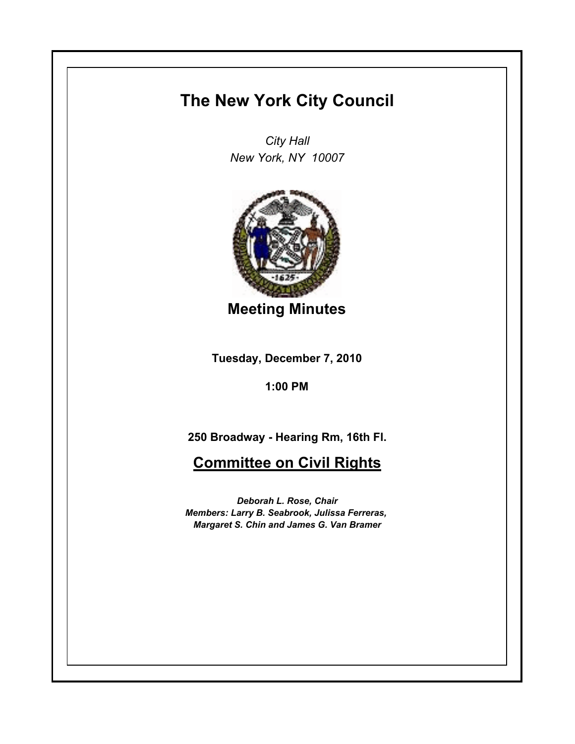## **The New York City Council**

*City Hall New York, NY 10007*



**Meeting Minutes**

**Tuesday, December 7, 2010**

**1:00 PM**

**250 Broadway - Hearing Rm, 16th Fl.**

## **Committee on Civil Rights**

*Deborah L. Rose, Chair Members: Larry B. Seabrook, Julissa Ferreras, Margaret S. Chin and James G. Van Bramer*